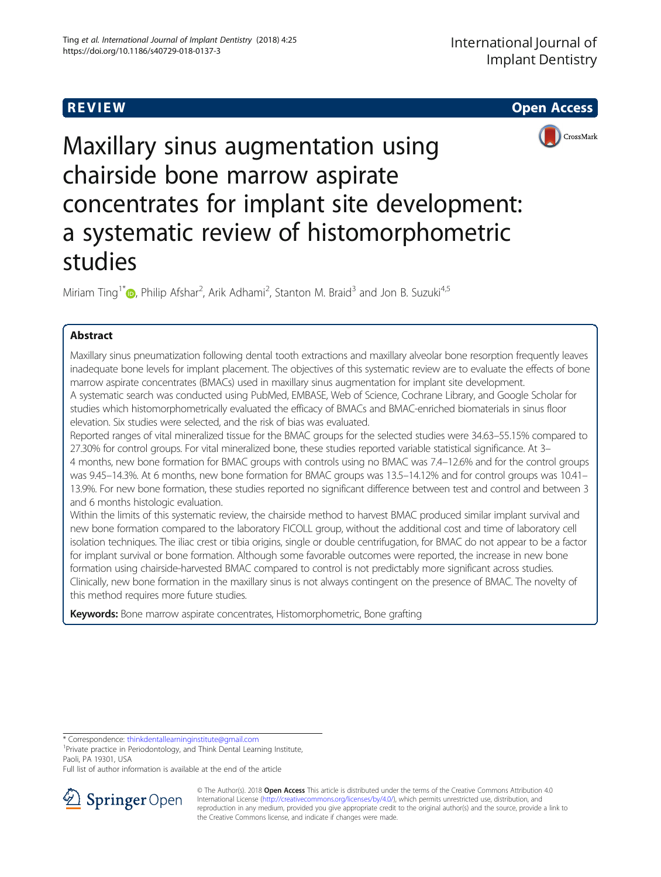R EVI EW Open Access



# Maxillary sinus augmentation using chairside bone marrow aspirate concentrates for implant site development: a systematic review of histomorphometric studies

Miriam Ting<sup>1[\\*](http://orcid.org/0000-0001-8503-2279)</sup>®, Philip Afshar<sup>2</sup>, Arik Adhami<sup>2</sup>, Stanton M. Braid<sup>3</sup> and Jon B. Suzuki<sup>4,5</sup>

# Abstract

Maxillary sinus pneumatization following dental tooth extractions and maxillary alveolar bone resorption frequently leaves inadequate bone levels for implant placement. The objectives of this systematic review are to evaluate the effects of bone marrow aspirate concentrates (BMACs) used in maxillary sinus augmentation for implant site development. A systematic search was conducted using PubMed, EMBASE, Web of Science, Cochrane Library, and Google Scholar for studies which histomorphometrically evaluated the efficacy of BMACs and BMAC-enriched biomaterials in sinus floor elevation. Six studies were selected, and the risk of bias was evaluated.

Reported ranges of vital mineralized tissue for the BMAC groups for the selected studies were 34.63–55.15% compared to 27.30% for control groups. For vital mineralized bone, these studies reported variable statistical significance. At 3– 4 months, new bone formation for BMAC groups with controls using no BMAC was 7.4–12.6% and for the control groups was 9.45–14.3%. At 6 months, new bone formation for BMAC groups was 13.5–14.12% and for control groups was 10.41– 13.9%. For new bone formation, these studies reported no significant difference between test and control and between 3 and 6 months histologic evaluation.

Within the limits of this systematic review, the chairside method to harvest BMAC produced similar implant survival and new bone formation compared to the laboratory FICOLL group, without the additional cost and time of laboratory cell isolation techniques. The iliac crest or tibia origins, single or double centrifugation, for BMAC do not appear to be a factor for implant survival or bone formation. Although some favorable outcomes were reported, the increase in new bone formation using chairside-harvested BMAC compared to control is not predictably more significant across studies. Clinically, new bone formation in the maxillary sinus is not always contingent on the presence of BMAC. The novelty of this method requires more future studies.

Keywords: Bone marrow aspirate concentrates, Histomorphometric, Bone grafting

\* Correspondence: [thinkdentallearninginstitute@gmail.com](mailto:thinkdentallearninginstitute@gmail.com) <sup>1</sup>

<sup>1</sup> Private practice in Periodontology, and Think Dental Learning Institute, Paoli, PA 19301, USA

Full list of author information is available at the end of the article



© The Author(s). 2018 Open Access This article is distributed under the terms of the Creative Commons Attribution 4.0 International License ([http://creativecommons.org/licenses/by/4.0/\)](http://creativecommons.org/licenses/by/4.0/), which permits unrestricted use, distribution, and reproduction in any medium, provided you give appropriate credit to the original author(s) and the source, provide a link to the Creative Commons license, and indicate if changes were made.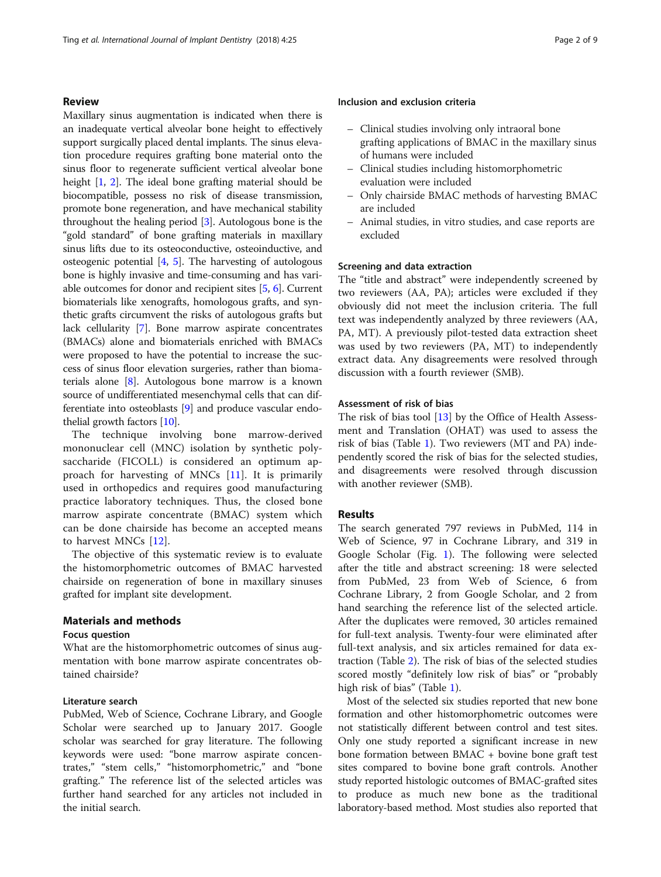## <span id="page-1-0"></span>Review

Maxillary sinus augmentation is indicated when there is an inadequate vertical alveolar bone height to effectively support surgically placed dental implants. The sinus elevation procedure requires grafting bone material onto the sinus floor to regenerate sufficient vertical alveolar bone height [[1](#page-7-0), [2](#page-7-0)]. The ideal bone grafting material should be biocompatible, possess no risk of disease transmission, promote bone regeneration, and have mechanical stability throughout the healing period [\[3\]](#page-7-0). Autologous bone is the "gold standard" of bone grafting materials in maxillary sinus lifts due to its osteoconductive, osteoinductive, and osteogenic potential [\[4,](#page-7-0) [5\]](#page-7-0). The harvesting of autologous bone is highly invasive and time-consuming and has variable outcomes for donor and recipient sites [\[5](#page-7-0), [6\]](#page-7-0). Current biomaterials like xenografts, homologous grafts, and synthetic grafts circumvent the risks of autologous grafts but lack cellularity [\[7](#page-7-0)]. Bone marrow aspirate concentrates (BMACs) alone and biomaterials enriched with BMACs were proposed to have the potential to increase the success of sinus floor elevation surgeries, rather than biomaterials alone [\[8](#page-7-0)]. Autologous bone marrow is a known source of undifferentiated mesenchymal cells that can differentiate into osteoblasts [\[9](#page-7-0)] and produce vascular endothelial growth factors [\[10\]](#page-7-0).

The technique involving bone marrow-derived mononuclear cell (MNC) isolation by synthetic polysaccharide (FICOLL) is considered an optimum approach for harvesting of MNCs [\[11](#page-7-0)]. It is primarily used in orthopedics and requires good manufacturing practice laboratory techniques. Thus, the closed bone marrow aspirate concentrate (BMAC) system which can be done chairside has become an accepted means to harvest MNCs [[12\]](#page-7-0).

The objective of this systematic review is to evaluate the histomorphometric outcomes of BMAC harvested chairside on regeneration of bone in maxillary sinuses grafted for implant site development.

# Materials and methods

# Focus question

What are the histomorphometric outcomes of sinus augmentation with bone marrow aspirate concentrates obtained chairside?

# Literature search

PubMed, Web of Science, Cochrane Library, and Google Scholar were searched up to January 2017. Google scholar was searched for gray literature. The following keywords were used: "bone marrow aspirate concentrates," "stem cells," "histomorphometric," and "bone grafting." The reference list of the selected articles was further hand searched for any articles not included in the initial search.

# Inclusion and exclusion criteria

- Clinical studies involving only intraoral bone grafting applications of BMAC in the maxillary sinus of humans were included
- Clinical studies including histomorphometric evaluation were included
- Only chairside BMAC methods of harvesting BMAC are included
- Animal studies, in vitro studies, and case reports are excluded

# Screening and data extraction

The "title and abstract" were independently screened by two reviewers (AA, PA); articles were excluded if they obviously did not meet the inclusion criteria. The full text was independently analyzed by three reviewers (AA, PA, MT). A previously pilot-tested data extraction sheet was used by two reviewers (PA, MT) to independently extract data. Any disagreements were resolved through discussion with a fourth reviewer (SMB).

# Assessment of risk of bias

The risk of bias tool [\[13](#page-7-0)] by the Office of Health Assessment and Translation (OHAT) was used to assess the risk of bias (Table [1](#page-2-0)). Two reviewers (MT and PA) independently scored the risk of bias for the selected studies, and disagreements were resolved through discussion with another reviewer (SMB).

#### Results

The search generated 797 reviews in PubMed, 114 in Web of Science, 97 in Cochrane Library, and 319 in Google Scholar (Fig. [1](#page-2-0)). The following were selected after the title and abstract screening: 18 were selected from PubMed, 23 from Web of Science, 6 from Cochrane Library, 2 from Google Scholar, and 2 from hand searching the reference list of the selected article. After the duplicates were removed, 30 articles remained for full-text analysis. Twenty-four were eliminated after full-text analysis, and six articles remained for data extraction (Table [2\)](#page-3-0). The risk of bias of the selected studies scored mostly "definitely low risk of bias" or "probably high risk of bias" (Table [1](#page-2-0)).

Most of the selected six studies reported that new bone formation and other histomorphometric outcomes were not statistically different between control and test sites. Only one study reported a significant increase in new bone formation between BMAC + bovine bone graft test sites compared to bovine bone graft controls. Another study reported histologic outcomes of BMAC-grafted sites to produce as much new bone as the traditional laboratory-based method. Most studies also reported that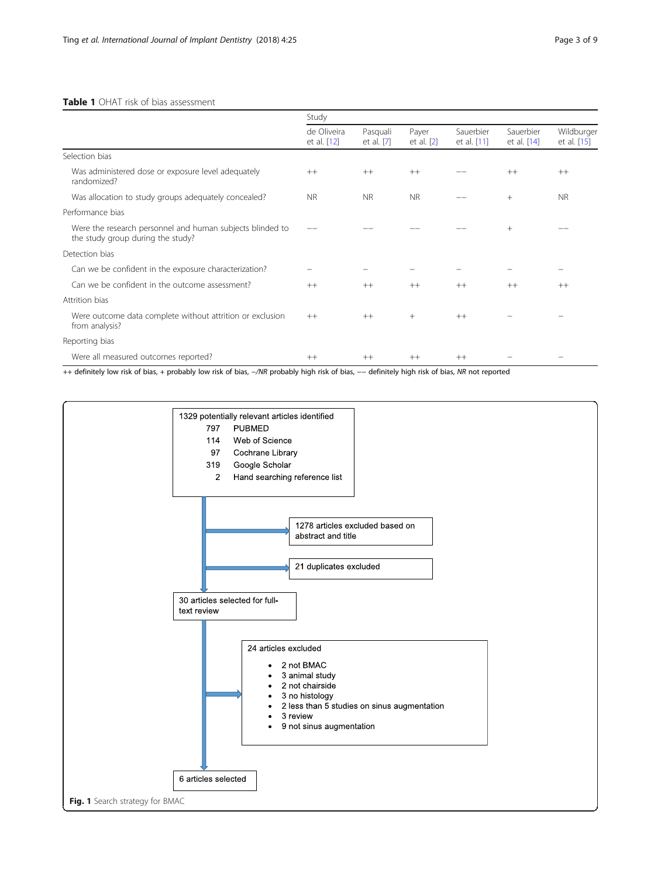# <span id="page-2-0"></span>Table 1 OHAT risk of bias assessment

|                                                                                                | Study                      |                        |                     |                          |                          |                           |
|------------------------------------------------------------------------------------------------|----------------------------|------------------------|---------------------|--------------------------|--------------------------|---------------------------|
|                                                                                                | de Oliveira<br>et al. [12] | Pasquali<br>et al. [7] | Payer<br>et al. [2] | Sauerbier<br>et al. [11] | Sauerbier<br>et al. [14] | Wildburger<br>et al. [15] |
| Selection bias                                                                                 |                            |                        |                     |                          |                          |                           |
| Was administered dose or exposure level adequately<br>randomized?                              | $++$                       | $++$                   | $++$                |                          | $++$                     | $++$                      |
| Was allocation to study groups adequately concealed?                                           | <b>NR</b>                  | <b>NR</b>              | <b>NR</b>           |                          | $+$                      | <b>NR</b>                 |
| Performance bias                                                                               |                            |                        |                     |                          |                          |                           |
| Were the research personnel and human subjects blinded to<br>the study group during the study? |                            |                        |                     |                          | $+$                      |                           |
| Detection bias                                                                                 |                            |                        |                     |                          |                          |                           |
| Can we be confident in the exposure characterization?                                          |                            |                        |                     |                          |                          |                           |
| Can we be confident in the outcome assessment?                                                 | $++$                       | $++$                   | $++$                | $++$                     | $++$                     | $++$                      |
| Attrition bias                                                                                 |                            |                        |                     |                          |                          |                           |
| Were outcome data complete without attrition or exclusion<br>from analysis?                    | $++$                       | $++$                   | $+$                 | $++$                     |                          |                           |
| Reporting bias                                                                                 |                            |                        |                     |                          |                          |                           |
| Were all measured outcomes reported?                                                           | $^{++}$                    | $++$                   | $++$                | $++$                     |                          |                           |

++ definitely low risk of bias, + probably low risk of bias, −/NR probably high risk of bias, −− definitely high risk of bias, NR not reported

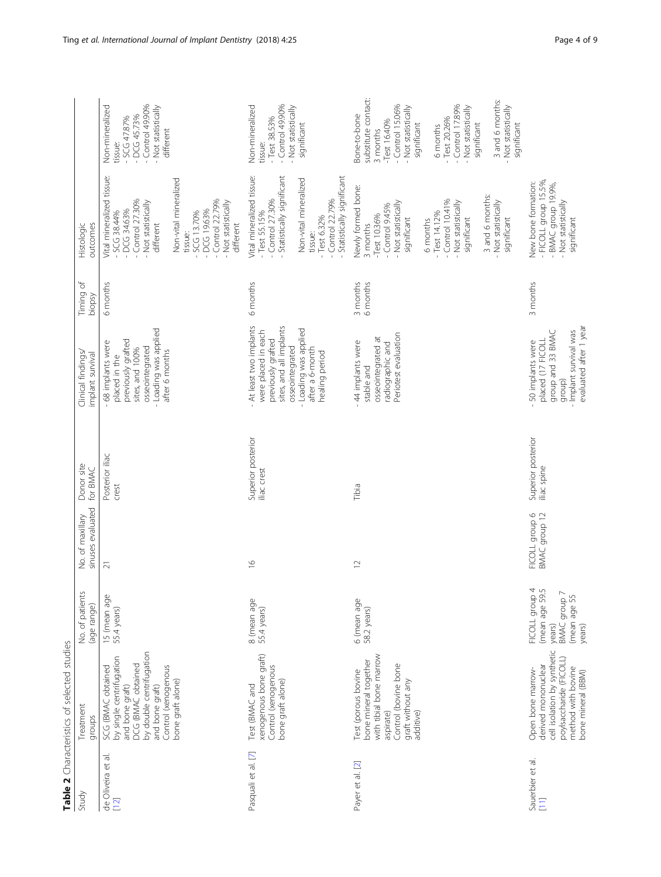<span id="page-3-0"></span>

| Study                                                      | Treatment<br>groups                                                                                                                                                                | No. of patients<br>(age range)                                                                  | sinuses evaluated<br>No. of maxillary | Donor site<br>for BMAC            | Clinical findings/<br>implant survival                                                                                                                                           | Timing of<br>biopsy  | Histologic<br>outcomes                                                                                                                                                                                                                                           |                                                                                                                                                                                                                                                                                     |
|------------------------------------------------------------|------------------------------------------------------------------------------------------------------------------------------------------------------------------------------------|-------------------------------------------------------------------------------------------------|---------------------------------------|-----------------------------------|----------------------------------------------------------------------------------------------------------------------------------------------------------------------------------|----------------------|------------------------------------------------------------------------------------------------------------------------------------------------------------------------------------------------------------------------------------------------------------------|-------------------------------------------------------------------------------------------------------------------------------------------------------------------------------------------------------------------------------------------------------------------------------------|
| $\overline{\sigma}$<br>de Oliveira et<br>[12]              | by double centrifugation<br>by single centrifugation<br>DCG (BMAC obtained<br>Control (xenogenous<br>SCG (BMAC obtained<br>bone graft alone)<br>and bone graft)<br>and bone graft) | 15 (mean age<br>55.4 years)                                                                     | $\overline{21}$                       | Posterior iliac<br>crest          | - Loading was applied<br>previously grafted<br>68 implants were<br>osseointegrated<br>sites, and 100%<br>after 6 months<br>placed in the                                         | 6 months             | Vital mineralized tissue:<br>Non-vital mineralized<br>$-$ Control 27.30%<br>$-$ Control 22.79%<br>- Not statistically<br>- Not statistically<br>$-DCG$ 34.63%<br>$-DCG19.63%$<br>$-5CCG$ 38.44%<br>SCG 13.70%<br>different<br>different<br>tissue:               | $-$ Control 49.90%<br>Non-mineralized<br>Not statistically<br>$-DCG45.73%$<br>- SCG 47.87%<br>different<br>tissue:                                                                                                                                                                  |
| Pasquali et al. [7]                                        | xenogenous bone graft)<br>Control (xenogenous<br>bone graft alone)<br>Test (BMAC and                                                                                               | 8 (mean age<br>55.4 years)                                                                      | $\frac{6}{1}$                         | Superior posterior<br>iliac crest | - At least two implants<br>sites, and all implants<br>- Loading was applied<br>were placed in each<br>previously grafted<br>osseointegrated<br>after a 6-month<br>healing period | 6 months             | Vital mineralized tissue:<br>- Statistically significant<br>Statistically significant<br>Non-vital mineralized<br>$-$ Control 27.30%<br>$-$ Control 22.79%<br>$-$ Test 55.15%<br>$-$ Test 6.32%<br>tissue:                                                       | $-$ Control 49.90%<br>Non-mineralized<br>- Not statistically<br>$-$ Test 38.53%<br>significant<br>tissue:                                                                                                                                                                           |
| Payer et al. [2]                                           | with tibial bone marrow<br>bone mineral together<br>Control (bovine bone<br>Test (porous bovine<br>graft without any<br>additive)<br>aspirate)                                     | 6 (mean age<br>58.2 years)                                                                      | $\approx$                             | Tibia                             | Periotest evaluation<br>osseointegrated at<br>44 implants were<br>radiographic and<br>stable and                                                                                 | 3 months<br>6 months | Newly formed bone:<br>3 and 6 months:<br>$-$ Control $10.41%$<br>- Not statistically<br>- Not statistically<br>- Not statistically<br>$-Control$ 9.45%<br>$-$ Test 14.12%<br>$-Test 10.36%$<br>significant<br>significant<br>significant<br>6 months<br>3 months | substitute contact:<br>3 and 6 months:<br>$-$ Control $15.06%$<br>$-$ Control $17.89%$<br>Not statistically<br>- Not statistically<br>- Not statistically<br>3one-to-bone<br>$-$ Test 20.26%<br>$-Test$ 16.40%<br>significant<br>significant<br>significant<br>6 months<br>3 months |
| Sauerbier et al.<br>$\begin{bmatrix} 1 \\ 1 \end{bmatrix}$ | cell isolation by synthetic<br>poylsaccharide (FICOLL)<br>derived mononuclear<br>method with bovine<br>Open bone marrow-<br>bone mineral (BBM)                                     | $4\tilde{N}$<br>FICOLL group<br>(mean age 59.<br>(mean age 55<br>BMAC group<br>years)<br>years) | BMAC group 12<br>FICOLL group 6       | Superior posterior<br>iliac spine | evaluated after 1 year<br>- Implant survival was<br>group and 33 BMAC<br>placed (17 FICOLL<br>50 implants were<br>group)                                                         | 3 months             | - FICOLL group 15.5%,<br>New bone formation:<br>- BMAC group 19.9%,<br>- Not statistically<br>significant                                                                                                                                                        |                                                                                                                                                                                                                                                                                     |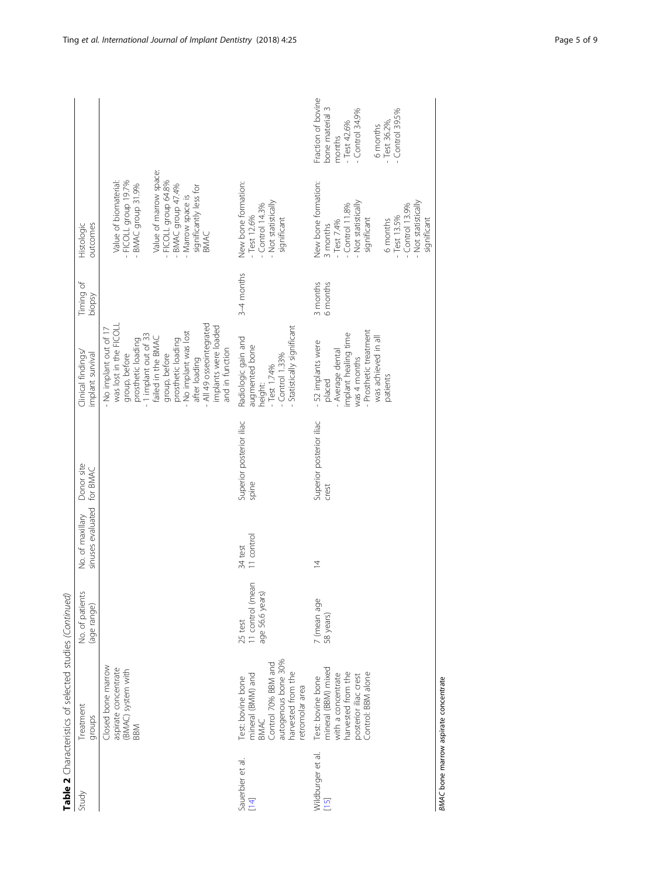|                             | Table 2 Characteristics of selected studies (Continued)                                                                              |                                                |                                       |                                   |                                                                                                                                                                                                                                                                                          |                      |                                                                                                                                                                                                   |                                                                                                                                |
|-----------------------------|--------------------------------------------------------------------------------------------------------------------------------------|------------------------------------------------|---------------------------------------|-----------------------------------|------------------------------------------------------------------------------------------------------------------------------------------------------------------------------------------------------------------------------------------------------------------------------------------|----------------------|---------------------------------------------------------------------------------------------------------------------------------------------------------------------------------------------------|--------------------------------------------------------------------------------------------------------------------------------|
| Study                       | <b>Treatment</b><br>groups                                                                                                           | Š.<br>No. of patien<br>(age range)             | sinuses evaluated<br>No. of maxillary | Donor site<br>for BMAC            | Clinical findings<br>implant survival                                                                                                                                                                                                                                                    | Timing of<br>biopsy  | outcomes<br>Histologic                                                                                                                                                                            |                                                                                                                                |
|                             | Closed bone marrow<br>aspirate concentrate<br>(BMAC) system with<br><b>BBM</b>                                                       |                                                |                                       |                                   | All 49 osseointegrated<br>was lost in the FICOLL<br>implants were loaded<br>No implant out of 17<br>- No implant was lost<br>1 implant out of 33<br>failed in the BMAC<br>prosthetic loading<br>prosthetic loading<br>and in function<br>group, before<br>group, before<br>after loading |                      | Value of marrow space:<br>Value of biomaterial:<br>FICOLL group 19.7%<br>FICOLL group 64.8%<br>BMAC group 31.9%<br>BMAC group 47.4%<br>significantly less for<br>Marrow space is<br><b>BMAC</b>   |                                                                                                                                |
| Sauerbier et al.<br>$[14]$  | autogenous bone 30%<br>Control 70% BBM and<br>mineral (BMM) and<br>harvested from the<br>Test: bovine bone<br>etromolar area<br>BMAC | 11 control (mean<br>age 56.6 years)<br>25 test | 11 control<br>34 test                 | Superior posterior iliac<br>spine | Statistically significant<br>Radiologic gain and<br>augmented bone<br>$-$ Control $1.33%$<br>$-$ Test $1.74%$<br>height:                                                                                                                                                                 | 3-4 months           | New bone formation:<br>- Not statistically<br>$-$ Control $14.3%$<br>Test 12.6%<br>significant                                                                                                    |                                                                                                                                |
| Wildburger et al.<br>$[15]$ | mineral (BBM) mixed<br>with a concentrate<br>harvested from the<br>posterior iliac crest<br>Control: BBM alone<br>Test: bovine bone  | 7 (mean age<br>58 years)                       | $\overline{4}$                        | Superior posterior iliac<br>crest | Prosthetic treatment<br>implant healing time<br>was achieved in all<br>- 52 implants were<br>- Average dental<br>was 4 months<br>patients<br>placed                                                                                                                                      | 3 months<br>6 months | New bone formation:<br>Not statistically<br>Not statistically<br><b>Control 11.8%</b><br>$-$ Control $13.9%$<br>$-$ Test 13.5%<br>significant<br>significant<br>6 months<br>Test 7.4%<br>3 months | Fraction of bovine<br>bone material 3<br>Control 39.5%<br>Control 34.9%<br>Test 42.6%<br>$-$ Test 36.2%,<br>6 months<br>months |

BMAC bone marrow aspirate concentrate BMAC bone marrow aspirate concentrate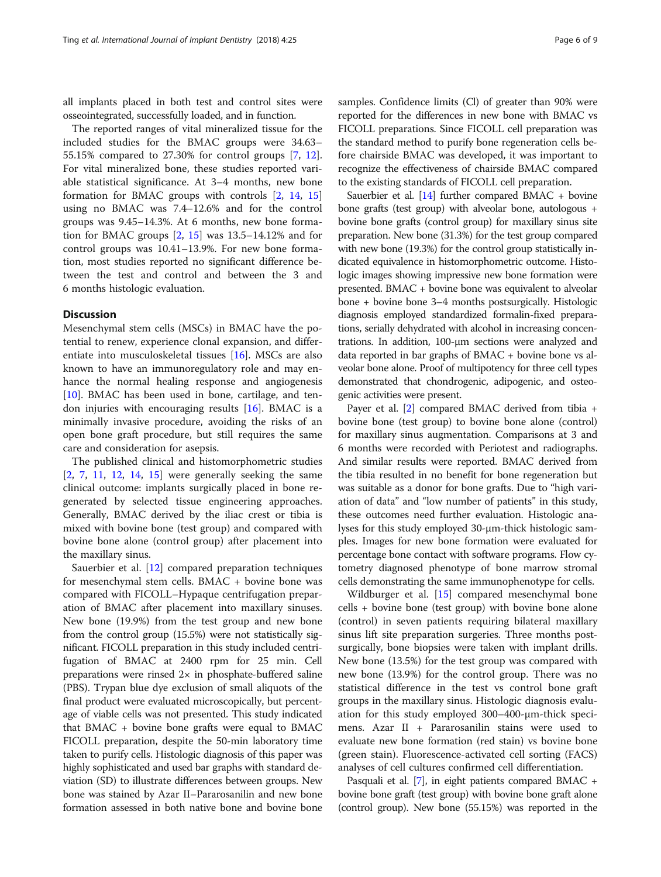all implants placed in both test and control sites were osseointegrated, successfully loaded, and in function.

The reported ranges of vital mineralized tissue for the included studies for the BMAC groups were 34.63– 55.15% compared to 27.30% for control groups [\[7](#page-7-0), [12](#page-7-0)]. For vital mineralized bone, these studies reported variable statistical significance. At 3–4 months, new bone formation for BMAC groups with controls [[2,](#page-7-0) [14,](#page-8-0) [15](#page-8-0)] using no BMAC was 7.4–12.6% and for the control groups was 9.45–14.3%. At 6 months, new bone formation for BMAC groups  $[2, 15]$  $[2, 15]$  $[2, 15]$  $[2, 15]$  $[2, 15]$  was 13.5–14.12% and for control groups was 10.41–13.9%. For new bone formation, most studies reported no significant difference between the test and control and between the 3 and 6 months histologic evaluation.

# **Discussion**

Mesenchymal stem cells (MSCs) in BMAC have the potential to renew, experience clonal expansion, and differentiate into musculoskeletal tissues [[16\]](#page-8-0). MSCs are also known to have an immunoregulatory role and may enhance the normal healing response and angiogenesis  $[10]$  $[10]$ . BMAC has been used in bone, cartilage, and tendon injuries with encouraging results  $[16]$  $[16]$ . BMAC is a minimally invasive procedure, avoiding the risks of an open bone graft procedure, but still requires the same care and consideration for asepsis.

The published clinical and histomorphometric studies [[2,](#page-7-0) [7,](#page-7-0) [11](#page-7-0), [12](#page-7-0), [14,](#page-8-0) [15\]](#page-8-0) were generally seeking the same clinical outcome: implants surgically placed in bone regenerated by selected tissue engineering approaches. Generally, BMAC derived by the iliac crest or tibia is mixed with bovine bone (test group) and compared with bovine bone alone (control group) after placement into the maxillary sinus.

Sauerbier et al. [\[12](#page-7-0)] compared preparation techniques for mesenchymal stem cells. BMAC + bovine bone was compared with FICOLL–Hypaque centrifugation preparation of BMAC after placement into maxillary sinuses. New bone (19.9%) from the test group and new bone from the control group (15.5%) were not statistically significant. FICOLL preparation in this study included centrifugation of BMAC at 2400 rpm for 25 min. Cell preparations were rinsed  $2\times$  in phosphate-buffered saline (PBS). Trypan blue dye exclusion of small aliquots of the final product were evaluated microscopically, but percentage of viable cells was not presented. This study indicated that BMAC + bovine bone grafts were equal to BMAC FICOLL preparation, despite the 50-min laboratory time taken to purify cells. Histologic diagnosis of this paper was highly sophisticated and used bar graphs with standard deviation (SD) to illustrate differences between groups. New bone was stained by Azar II–Pararosanilin and new bone formation assessed in both native bone and bovine bone samples. Confidence limits (Cl) of greater than 90% were reported for the differences in new bone with BMAC vs FICOLL preparations. Since FICOLL cell preparation was the standard method to purify bone regeneration cells before chairside BMAC was developed, it was important to recognize the effectiveness of chairside BMAC compared to the existing standards of FICOLL cell preparation.

Sauerbier et al.  $[14]$  further compared BMAC + bovine bone grafts (test group) with alveolar bone, autologous + bovine bone grafts (control group) for maxillary sinus site preparation. New bone (31.3%) for the test group compared with new bone (19.3%) for the control group statistically indicated equivalence in histomorphometric outcome. Histologic images showing impressive new bone formation were presented. BMAC + bovine bone was equivalent to alveolar bone + bovine bone 3–4 months postsurgically. Histologic diagnosis employed standardized formalin-fixed preparations, serially dehydrated with alcohol in increasing concentrations. In addition, 100-μm sections were analyzed and data reported in bar graphs of BMAC + bovine bone vs alveolar bone alone. Proof of multipotency for three cell types demonstrated that chondrogenic, adipogenic, and osteogenic activities were present.

Payer et al. [\[2](#page-7-0)] compared BMAC derived from tibia + bovine bone (test group) to bovine bone alone (control) for maxillary sinus augmentation. Comparisons at 3 and 6 months were recorded with Periotest and radiographs. And similar results were reported. BMAC derived from the tibia resulted in no benefit for bone regeneration but was suitable as a donor for bone grafts. Due to "high variation of data" and "low number of patients" in this study, these outcomes need further evaluation. Histologic analyses for this study employed 30-μm-thick histologic samples. Images for new bone formation were evaluated for percentage bone contact with software programs. Flow cytometry diagnosed phenotype of bone marrow stromal cells demonstrating the same immunophenotype for cells.

Wildburger et al. [[15](#page-8-0)] compared mesenchymal bone cells + bovine bone (test group) with bovine bone alone (control) in seven patients requiring bilateral maxillary sinus lift site preparation surgeries. Three months postsurgically, bone biopsies were taken with implant drills. New bone (13.5%) for the test group was compared with new bone (13.9%) for the control group. There was no statistical difference in the test vs control bone graft groups in the maxillary sinus. Histologic diagnosis evaluation for this study employed 300–400-μm-thick specimens. Azar II + Pararosanilin stains were used to evaluate new bone formation (red stain) vs bovine bone (green stain). Fluorescence-activated cell sorting (FACS) analyses of cell cultures confirmed cell differentiation.

Pasquali et al. [\[7](#page-7-0)], in eight patients compared BMAC + bovine bone graft (test group) with bovine bone graft alone (control group). New bone (55.15%) was reported in the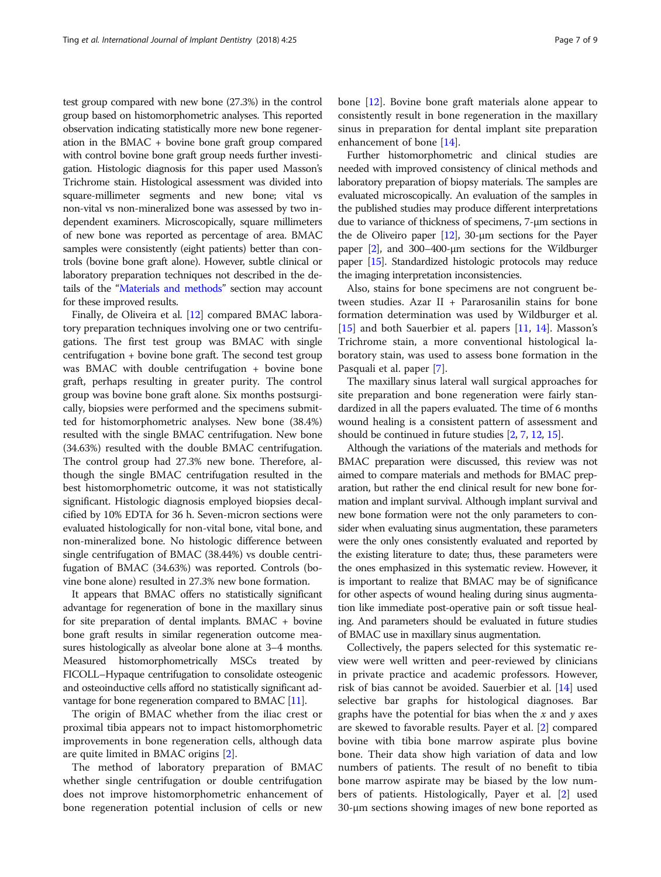test group compared with new bone (27.3%) in the control group based on histomorphometric analyses. This reported observation indicating statistically more new bone regeneration in the BMAC + bovine bone graft group compared with control bovine bone graft group needs further investigation. Histologic diagnosis for this paper used Masson's Trichrome stain. Histological assessment was divided into square-millimeter segments and new bone; vital vs non-vital vs non-mineralized bone was assessed by two independent examiners. Microscopically, square millimeters of new bone was reported as percentage of area. BMAC samples were consistently (eight patients) better than controls (bovine bone graft alone). However, subtle clinical or laboratory preparation techniques not described in the details of the "[Materials and methods](#page-1-0)" section may account for these improved results.

Finally, de Oliveira et al. [[12\]](#page-7-0) compared BMAC laboratory preparation techniques involving one or two centrifugations. The first test group was BMAC with single centrifugation + bovine bone graft. The second test group was BMAC with double centrifugation + bovine bone graft, perhaps resulting in greater purity. The control group was bovine bone graft alone. Six months postsurgically, biopsies were performed and the specimens submitted for histomorphometric analyses. New bone (38.4%) resulted with the single BMAC centrifugation. New bone (34.63%) resulted with the double BMAC centrifugation. The control group had 27.3% new bone. Therefore, although the single BMAC centrifugation resulted in the best histomorphometric outcome, it was not statistically significant. Histologic diagnosis employed biopsies decalcified by 10% EDTA for 36 h. Seven-micron sections were evaluated histologically for non-vital bone, vital bone, and non-mineralized bone. No histologic difference between single centrifugation of BMAC (38.44%) vs double centrifugation of BMAC (34.63%) was reported. Controls (bovine bone alone) resulted in 27.3% new bone formation.

It appears that BMAC offers no statistically significant advantage for regeneration of bone in the maxillary sinus for site preparation of dental implants. BMAC + bovine bone graft results in similar regeneration outcome measures histologically as alveolar bone alone at 3–4 months. Measured histomorphometrically MSCs treated by FICOLL–Hypaque centrifugation to consolidate osteogenic and osteoinductive cells afford no statistically significant advantage for bone regeneration compared to BMAC [\[11\]](#page-7-0).

The origin of BMAC whether from the iliac crest or proximal tibia appears not to impact histomorphometric improvements in bone regeneration cells, although data are quite limited in BMAC origins [[2\]](#page-7-0).

The method of laboratory preparation of BMAC whether single centrifugation or double centrifugation does not improve histomorphometric enhancement of bone regeneration potential inclusion of cells or new

bone [\[12](#page-7-0)]. Bovine bone graft materials alone appear to consistently result in bone regeneration in the maxillary sinus in preparation for dental implant site preparation enhancement of bone [[14\]](#page-8-0).

Further histomorphometric and clinical studies are needed with improved consistency of clinical methods and laboratory preparation of biopsy materials. The samples are evaluated microscopically. An evaluation of the samples in the published studies may produce different interpretations due to variance of thickness of specimens, 7-μm sections in the de Oliveiro paper  $[12]$ , 30-μm sections for the Payer paper [[2](#page-7-0)], and 300–400-μm sections for the Wildburger paper [\[15\]](#page-8-0). Standardized histologic protocols may reduce the imaging interpretation inconsistencies.

Also, stains for bone specimens are not congruent between studies. Azar II + Pararosanilin stains for bone formation determination was used by Wildburger et al. [[15\]](#page-8-0) and both Sauerbier et al. papers [[11,](#page-7-0) [14\]](#page-8-0). Masson's Trichrome stain, a more conventional histological laboratory stain, was used to assess bone formation in the Pasquali et al. paper [\[7\]](#page-7-0).

The maxillary sinus lateral wall surgical approaches for site preparation and bone regeneration were fairly standardized in all the papers evaluated. The time of 6 months wound healing is a consistent pattern of assessment and should be continued in future studies [[2](#page-7-0), [7](#page-7-0), [12](#page-7-0), [15\]](#page-8-0).

Although the variations of the materials and methods for BMAC preparation were discussed, this review was not aimed to compare materials and methods for BMAC preparation, but rather the end clinical result for new bone formation and implant survival. Although implant survival and new bone formation were not the only parameters to consider when evaluating sinus augmentation, these parameters were the only ones consistently evaluated and reported by the existing literature to date; thus, these parameters were the ones emphasized in this systematic review. However, it is important to realize that BMAC may be of significance for other aspects of wound healing during sinus augmentation like immediate post-operative pain or soft tissue healing. And parameters should be evaluated in future studies of BMAC use in maxillary sinus augmentation.

Collectively, the papers selected for this systematic review were well written and peer-reviewed by clinicians in private practice and academic professors. However, risk of bias cannot be avoided. Sauerbier et al. [\[14](#page-8-0)] used selective bar graphs for histological diagnoses. Bar graphs have the potential for bias when the  $x$  and  $y$  axes are skewed to favorable results. Payer et al. [[2\]](#page-7-0) compared bovine with tibia bone marrow aspirate plus bovine bone. Their data show high variation of data and low numbers of patients. The result of no benefit to tibia bone marrow aspirate may be biased by the low numbers of patients. Histologically, Payer et al. [[2\]](#page-7-0) used 30-μm sections showing images of new bone reported as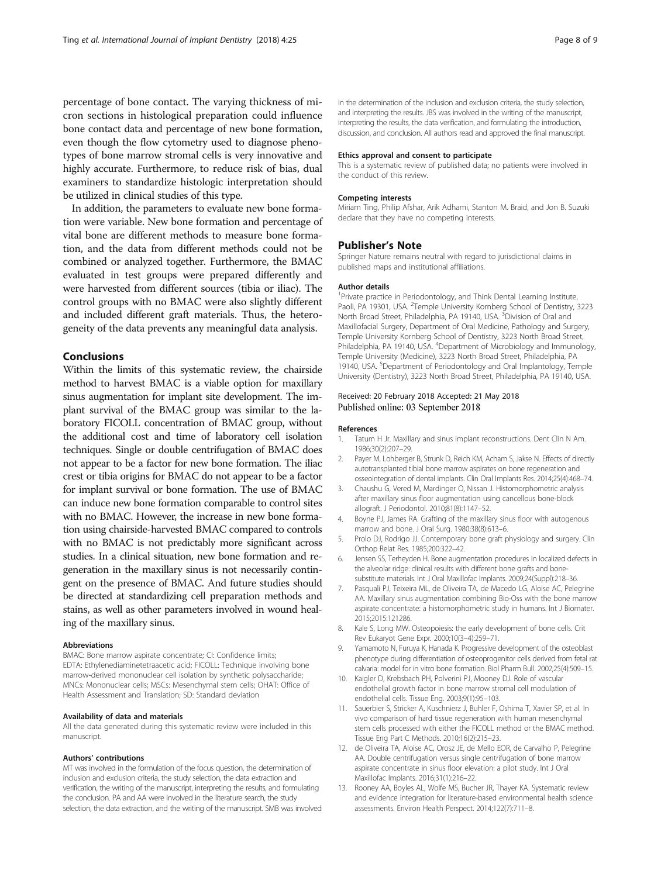<span id="page-7-0"></span>percentage of bone contact. The varying thickness of micron sections in histological preparation could influence bone contact data and percentage of new bone formation, even though the flow cytometry used to diagnose phenotypes of bone marrow stromal cells is very innovative and highly accurate. Furthermore, to reduce risk of bias, dual examiners to standardize histologic interpretation should be utilized in clinical studies of this type.

In addition, the parameters to evaluate new bone formation were variable. New bone formation and percentage of vital bone are different methods to measure bone formation, and the data from different methods could not be combined or analyzed together. Furthermore, the BMAC evaluated in test groups were prepared differently and were harvested from different sources (tibia or iliac). The control groups with no BMAC were also slightly different and included different graft materials. Thus, the heterogeneity of the data prevents any meaningful data analysis.

# Conclusions

Within the limits of this systematic review, the chairside method to harvest BMAC is a viable option for maxillary sinus augmentation for implant site development. The implant survival of the BMAC group was similar to the laboratory FICOLL concentration of BMAC group, without the additional cost and time of laboratory cell isolation techniques. Single or double centrifugation of BMAC does not appear to be a factor for new bone formation. The iliac crest or tibia origins for BMAC do not appear to be a factor for implant survival or bone formation. The use of BMAC can induce new bone formation comparable to control sites with no BMAC. However, the increase in new bone formation using chairside-harvested BMAC compared to controls with no BMAC is not predictably more significant across studies. In a clinical situation, new bone formation and regeneration in the maxillary sinus is not necessarily contingent on the presence of BMAC. And future studies should be directed at standardizing cell preparation methods and stains, as well as other parameters involved in wound healing of the maxillary sinus.

#### Abbreviations

BMAC: Bone marrow aspirate concentrate; CI: Confidence limits; EDTA: Ethylenediaminetetraacetic acid; FICOLL: Technique involving bone marrow-derived mononuclear cell isolation by synthetic polysaccharide; MNCs: Mononuclear cells; MSCs: Mesenchymal stem cells; OHAT: Office of Health Assessment and Translation; SD: Standard deviation

#### Availability of data and materials

All the data generated during this systematic review were included in this manuscript.

#### Authors' contributions

MT was involved in the formulation of the focus question, the determination of inclusion and exclusion criteria, the study selection, the data extraction and verification, the writing of the manuscript, interpreting the results, and formulating the conclusion. PA and AA were involved in the literature search, the study selection, the data extraction, and the writing of the manuscript. SMB was involved

in the determination of the inclusion and exclusion criteria, the study selection, and interpreting the results. JBS was involved in the writing of the manuscript, interpreting the results, the data verification, and formulating the introduction, discussion, and conclusion. All authors read and approved the final manuscript.

#### Ethics approval and consent to participate

This is a systematic review of published data; no patients were involved in the conduct of this review.

#### Competing interests

Miriam Ting, Philip Afshar, Arik Adhami, Stanton M. Braid, and Jon B. Suzuki declare that they have no competing interests.

#### Publisher's Note

Springer Nature remains neutral with regard to jurisdictional claims in published maps and institutional affiliations.

#### Author details

<sup>1</sup> Private practice in Periodontology, and Think Dental Learning Institute Paoli, PA 19301, USA. <sup>2</sup> Temple University Kornberg School of Dentistry, 3223 North Broad Street, Philadelphia, PA 19140, USA. <sup>3</sup>Division of Oral and Maxillofacial Surgery, Department of Oral Medicine, Pathology and Surgery, Temple University Kornberg School of Dentistry, 3223 North Broad Street, Philadelphia, PA 19140, USA. <sup>4</sup>Department of Microbiology and Immunology Temple University (Medicine), 3223 North Broad Street, Philadelphia, PA 19140, USA. <sup>5</sup>Department of Periodontology and Oral Implantology, Temple University (Dentistry), 3223 North Broad Street, Philadelphia, PA 19140, USA.

#### Received: 20 February 2018 Accepted: 21 May 2018 Published online: 03 September 2018

#### References

- 1. Tatum H Jr. Maxillary and sinus implant reconstructions. Dent Clin N Am. 1986;30(2):207–29.
- 2. Payer M, Lohberger B, Strunk D, Reich KM, Acham S, Jakse N. Effects of directly autotransplanted tibial bone marrow aspirates on bone regeneration and osseointegration of dental implants. Clin Oral Implants Res. 2014;25(4):468–74.
- 3. Chaushu G, Vered M, Mardinger O, Nissan J. Histomorphometric analysis after maxillary sinus floor augmentation using cancellous bone-block allograft. J Periodontol. 2010;81(8):1147–52.
- 4. Boyne PJ, James RA. Grafting of the maxillary sinus floor with autogenous marrow and bone. J Oral Surg. 1980;38(8):613–6.
- 5. Prolo DJ, Rodrigo JJ. Contemporary bone graft physiology and surgery. Clin Orthop Relat Res. 1985;200:322–42.
- 6. Jensen SS, Terheyden H. Bone augmentation procedures in localized defects in the alveolar ridge: clinical results with different bone grafts and bonesubstitute materials. Int J Oral Maxillofac Implants. 2009;24(Suppl):218–36.
- 7. Pasquali PJ, Teixeira ML, de Oliveira TA, de Macedo LG, Aloise AC, Pelegrine AA. Maxillary sinus augmentation combining Bio-Oss with the bone marrow aspirate concentrate: a histomorphometric study in humans. Int J Biomater. 2015;2015:121286.
- 8. Kale S, Long MW. Osteopoiesis: the early development of bone cells. Crit Rev Eukaryot Gene Expr. 2000;10(3–4):259–71.
- 9. Yamamoto N, Furuya K, Hanada K. Progressive development of the osteoblast phenotype during differentiation of osteoprogenitor cells derived from fetal rat calvaria: model for in vitro bone formation. Biol Pharm Bull. 2002;25(4):509–15.
- 10. Kaigler D, Krebsbach PH, Polverini PJ, Mooney DJ. Role of vascular endothelial growth factor in bone marrow stromal cell modulation of endothelial cells. Tissue Eng. 2003;9(1):95–103.
- 11. Sauerbier S, Stricker A, Kuschnierz J, Buhler F, Oshima T, Xavier SP, et al. In vivo comparison of hard tissue regeneration with human mesenchymal stem cells processed with either the FICOLL method or the BMAC method. Tissue Eng Part C Methods. 2010;16(2):215–23.
- 12. de Oliveira TA, Aloise AC, Orosz JE, de Mello EOR, de Carvalho P, Pelegrine AA. Double centrifugation versus single centrifugation of bone marrow aspirate concentrate in sinus floor elevation: a pilot study. Int J Oral Maxillofac Implants. 2016;31(1):216–22.
- 13. Rooney AA, Boyles AL, Wolfe MS, Bucher JR, Thayer KA. Systematic review and evidence integration for literature-based environmental health science assessments. Environ Health Perspect. 2014;122(7):711–8.